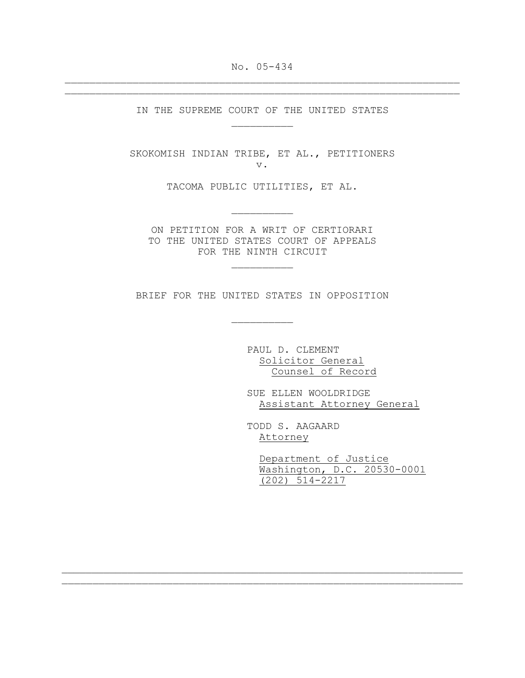No. 05-434  $\mathcal{L}_\text{max} = \mathcal{L}_\text{max} = \mathcal{L}_\text{max} = \mathcal{L}_\text{max} = \mathcal{L}_\text{max} = \mathcal{L}_\text{max} = \mathcal{L}_\text{max} = \mathcal{L}_\text{max} = \mathcal{L}_\text{max} = \mathcal{L}_\text{max} = \mathcal{L}_\text{max} = \mathcal{L}_\text{max} = \mathcal{L}_\text{max} = \mathcal{L}_\text{max} = \mathcal{L}_\text{max} = \mathcal{L}_\text{max} = \mathcal{L}_\text{max} = \mathcal{L}_\text{max} = \mathcal{$ 

 $\mathcal{L}_\text{max} = \mathcal{L}_\text{max} = \mathcal{L}_\text{max} = \mathcal{L}_\text{max} = \mathcal{L}_\text{max} = \mathcal{L}_\text{max} = \mathcal{L}_\text{max} = \mathcal{L}_\text{max} = \mathcal{L}_\text{max} = \mathcal{L}_\text{max} = \mathcal{L}_\text{max} = \mathcal{L}_\text{max} = \mathcal{L}_\text{max} = \mathcal{L}_\text{max} = \mathcal{L}_\text{max} = \mathcal{L}_\text{max} = \mathcal{L}_\text{max} = \mathcal{L}_\text{max} = \mathcal{$ 

IN THE SUPREME COURT OF THE UNITED STATES  $\mathcal{L}_\text{max}$ 

SKOKOMISH INDIAN TRIBE, ET AL., PETITIONERS v.

TACOMA PUBLIC UTILITIES, ET AL.

 $\mathcal{L}_\text{max}$ 

ON PETITION FOR A WRIT OF CERTIORARI TO THE UNITED STATES COURT OF APPEALS FOR THE NINTH CIRCUIT

 $\mathcal{L}_\text{max}$ 

BRIEF FOR THE UNITED STATES IN OPPOSITION

 $\mathcal{L}_\text{max} = \mathcal{L}_\text{max} = \mathcal{L}_\text{max} = \mathcal{L}_\text{max} = \mathcal{L}_\text{max} = \mathcal{L}_\text{max} = \mathcal{L}_\text{max} = \mathcal{L}_\text{max} = \mathcal{L}_\text{max} = \mathcal{L}_\text{max} = \mathcal{L}_\text{max} = \mathcal{L}_\text{max} = \mathcal{L}_\text{max} = \mathcal{L}_\text{max} = \mathcal{L}_\text{max} = \mathcal{L}_\text{max} = \mathcal{L}_\text{max} = \mathcal{L}_\text{max} = \mathcal{$ 

 $\overline{\phantom{a}}$ 

PAUL D. CLEMENT Solicitor General Counsel of Record

SUE ELLEN WOOLDRIDGE Assistant Attorney General

TODD S. AAGAARD Attorney

> Department of Justice Washington, D.C. 20530-0001 (202) 514-2217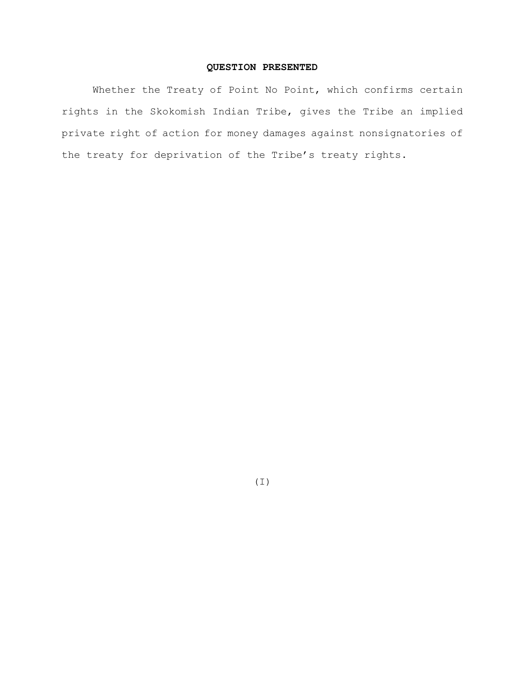# **QUESTION PRESENTED**

Whether the Treaty of Point No Point, which confirms certain rights in the Skokomish Indian Tribe, gives the Tribe an implied private right of action for money damages against nonsignatories of the treaty for deprivation of the Tribe's treaty rights.

(I)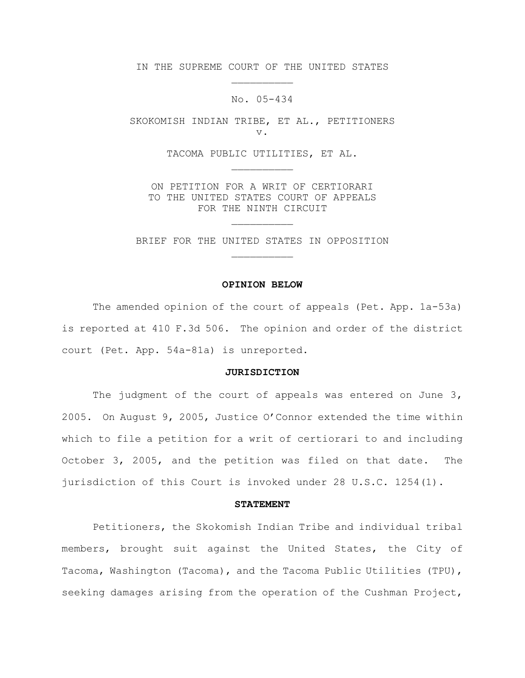IN THE SUPREME COURT OF THE UNITED STATES  $\mathcal{L}_\text{max}$ 

# No. 05-434

SKOKOMISH INDIAN TRIBE, ET AL., PETITIONERS v.

> TACOMA PUBLIC UTILITIES, ET AL.  $\mathcal{L}_\text{max}$

ON PETITION FOR A WRIT OF CERTIORARI TO THE UNITED STATES COURT OF APPEALS FOR THE NINTH CIRCUIT

 $\mathcal{L}_\text{max}$ 

BRIEF FOR THE UNITED STATES IN OPPOSITION  $\mathcal{L}_\text{max}$ 

## **OPINION BELOW**

The amended opinion of the court of appeals (Pet. App. 1a-53a) is reported at 410 F.3d 506. The opinion and order of the district court (Pet. App. 54a-81a) is unreported.

#### **JURISDICTION**

The judgment of the court of appeals was entered on June  $3$ , 2005. On August 9, 2005, Justice O'Connor extended the time within which to file a petition for a writ of certiorari to and including October 3, 2005, and the petition was filed on that date. The jurisdiction of this Court is invoked under 28 U.S.C. 1254(1).

## **STATEMENT**

Petitioners, the Skokomish Indian Tribe and individual tribal members, brought suit against the United States, the City of Tacoma, Washington (Tacoma), and the Tacoma Public Utilities (TPU), seeking damages arising from the operation of the Cushman Project,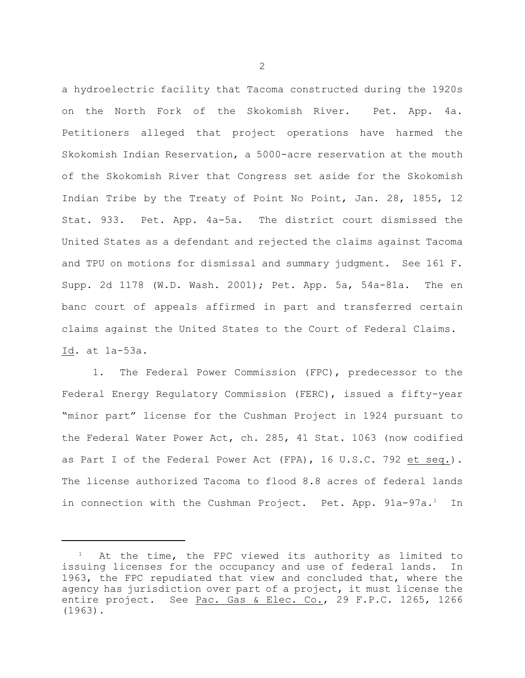a hydroelectric facility that Tacoma constructed during the 1920s on the North Fork of the Skokomish River. Pet. App. 4a. Petitioners alleged that project operations have harmed the Skokomish Indian Reservation, a 5000-acre reservation at the mouth of the Skokomish River that Congress set aside for the Skokomish Indian Tribe by the Treaty of Point No Point, Jan. 28, 1855, 12 Stat. 933. Pet. App. 4a-5a. The district court dismissed the United States as a defendant and rejected the claims against Tacoma and TPU on motions for dismissal and summary judgment. See 161 F. Supp. 2d 1178 (W.D. Wash. 2001); Pet. App. 5a, 54a-81a. The en banc court of appeals affirmed in part and transferred certain claims against the United States to the Court of Federal Claims. Id. at 1a-53a.

1. The Federal Power Commission (FPC), predecessor to the Federal Energy Regulatory Commission (FERC), issued a fifty-year "minor part" license for the Cushman Project in 1924 pursuant to the Federal Water Power Act, ch. 285, 41 Stat. 1063 (now codified as Part I of the Federal Power Act (FPA), 16 U.S.C. 792 et seq.). The license authorized Tacoma to flood 8.8 acres of federal lands in connection with the Cushman Project. Pet. App.  $91a-97a.$ <sup>1</sup> In

At the time, the FPC viewed its authority as limited to issuing licenses for the occupancy and use of federal lands. In 1963, the FPC repudiated that view and concluded that, where the agency has jurisdiction over part of a project, it must license the entire project. See Pac. Gas & Elec. Co., 29 F.P.C. 1265, 1266 (1963).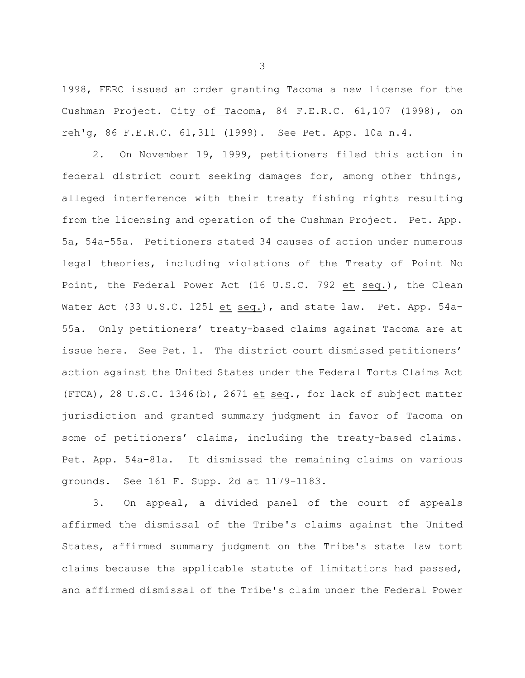1998, FERC issued an order granting Tacoma a new license for the Cushman Project. City of Tacoma, 84 F.E.R.C. 61,107 (1998), on reh'g, 86 F.E.R.C. 61,311 (1999). See Pet. App. 10a n.4.

2. On November 19, 1999, petitioners filed this action in federal district court seeking damages for, among other things, alleged interference with their treaty fishing rights resulting from the licensing and operation of the Cushman Project. Pet. App. 5a, 54a-55a. Petitioners stated 34 causes of action under numerous legal theories, including violations of the Treaty of Point No Point, the Federal Power Act (16 U.S.C. 792 et seq.), the Clean Water Act (33 U.S.C. 1251 et seq.), and state law. Pet. App. 54a-55a. Only petitioners' treaty-based claims against Tacoma are at issue here. See Pet. 1. The district court dismissed petitioners' action against the United States under the Federal Torts Claims Act (FTCA), 28 U.S.C. 1346(b), 2671 et seq., for lack of subject matter jurisdiction and granted summary judgment in favor of Tacoma on some of petitioners' claims, including the treaty-based claims. Pet. App. 54a-81a. It dismissed the remaining claims on various grounds. See 161 F. Supp. 2d at 1179-1183.

3. On appeal, a divided panel of the court of appeals affirmed the dismissal of the Tribe's claims against the United States, affirmed summary judgment on the Tribe's state law tort claims because the applicable statute of limitations had passed, and affirmed dismissal of the Tribe's claim under the Federal Power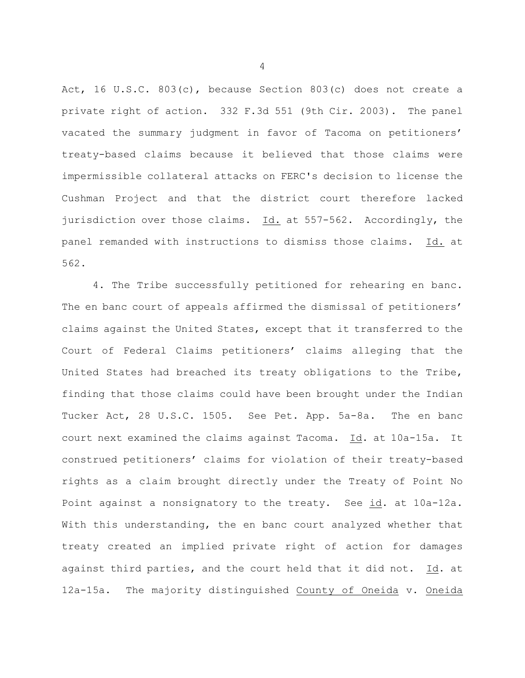Act, 16 U.S.C. 803(c), because Section 803(c) does not create a private right of action. 332 F.3d 551 (9th Cir. 2003). The panel vacated the summary judgment in favor of Tacoma on petitioners' treaty-based claims because it believed that those claims were impermissible collateral attacks on FERC's decision to license the Cushman Project and that the district court therefore lacked jurisdiction over those claims. Id. at 557-562. Accordingly, the panel remanded with instructions to dismiss those claims. Id. at 562.

4. The Tribe successfully petitioned for rehearing en banc. The en banc court of appeals affirmed the dismissal of petitioners' claims against the United States, except that it transferred to the Court of Federal Claims petitioners' claims alleging that the United States had breached its treaty obligations to the Tribe, finding that those claims could have been brought under the Indian Tucker Act, 28 U.S.C. 1505. See Pet. App. 5a-8a. The en banc court next examined the claims against Tacoma. Id. at 10a-15a. It construed petitioners' claims for violation of their treaty-based rights as a claim brought directly under the Treaty of Point No Point against a nonsignatory to the treaty. See id. at 10a-12a. With this understanding, the en banc court analyzed whether that treaty created an implied private right of action for damages against third parties, and the court held that it did not. Id. at 12a-15a. The majority distinguished County of Oneida v. Oneida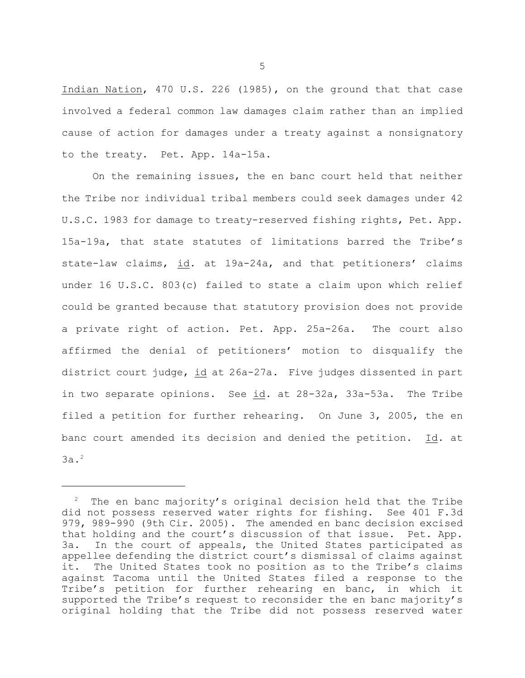Indian Nation, 470 U.S. 226 (1985), on the ground that that case involved a federal common law damages claim rather than an implied cause of action for damages under a treaty against a nonsignatory to the treaty. Pet. App. 14a-15a.

On the remaining issues, the en banc court held that neither the Tribe nor individual tribal members could seek damages under 42 U.S.C. 1983 for damage to treaty-reserved fishing rights, Pet. App. 15a-19a, that state statutes of limitations barred the Tribe's state-law claims, id. at 19a-24a, and that petitioners' claims under 16 U.S.C. 803(c) failed to state a claim upon which relief could be granted because that statutory provision does not provide a private right of action. Pet. App. 25a-26a. The court also affirmed the denial of petitioners' motion to disqualify the district court judge, id at 26a-27a. Five judges dissented in part in two separate opinions. See id. at 28-32a, 33a-53a. The Tribe filed a petition for further rehearing. On June 3, 2005, the en banc court amended its decision and denied the petition. Id. at 3a.2

 $2$  The en banc majority's original decision held that the Tribe did not possess reserved water rights for fishing. See 401 F.3d 979, 989-990 (9th Cir. 2005). The amended en banc decision excised that holding and the court's discussion of that issue. Pet. App. 3a. In the court of appeals, the United States participated as appellee defending the district court's dismissal of claims against it. The United States took no position as to the Tribe's claims against Tacoma until the United States filed a response to the Tribe's petition for further rehearing en banc, in which it supported the Tribe's request to reconsider the en banc majority's original holding that the Tribe did not possess reserved water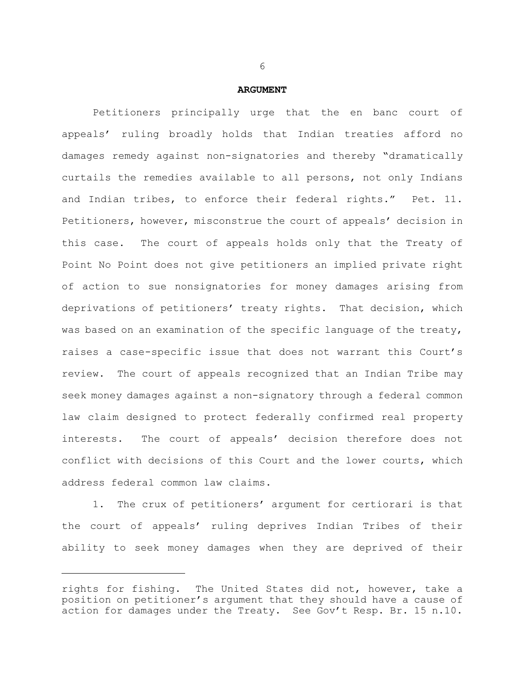## **ARGUMENT**

Petitioners principally urge that the en banc court of appeals' ruling broadly holds that Indian treaties afford no damages remedy against non-signatories and thereby "dramatically curtails the remedies available to all persons, not only Indians and Indian tribes, to enforce their federal rights." Pet. 11. Petitioners, however, misconstrue the court of appeals' decision in this case. The court of appeals holds only that the Treaty of Point No Point does not give petitioners an implied private right of action to sue nonsignatories for money damages arising from deprivations of petitioners' treaty rights. That decision, which was based on an examination of the specific language of the treaty, raises a case-specific issue that does not warrant this Court's review. The court of appeals recognized that an Indian Tribe may seek money damages against a non-signatory through a federal common law claim designed to protect federally confirmed real property interests. The court of appeals' decision therefore does not conflict with decisions of this Court and the lower courts, which address federal common law claims.

1. The crux of petitioners' argument for certiorari is that the court of appeals' ruling deprives Indian Tribes of their ability to seek money damages when they are deprived of their

rights for fishing. The United States did not, however, take a position on petitioner's argument that they should have a cause of action for damages under the Treaty. See Gov't Resp. Br. 15 n.10.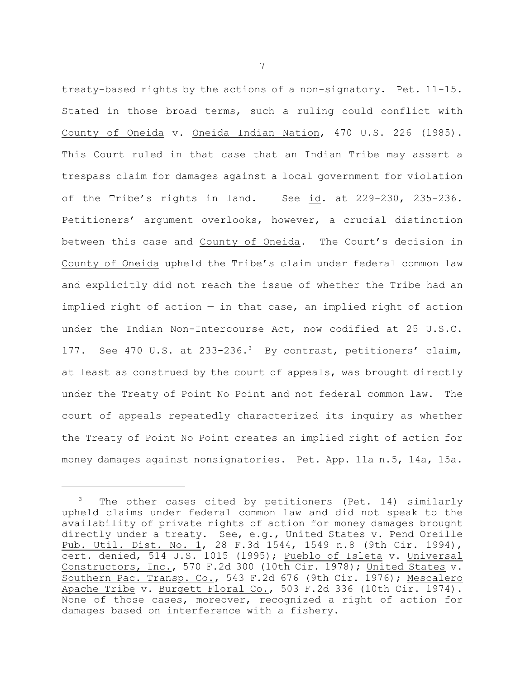treaty-based rights by the actions of a non-signatory. Pet. 11-15. Stated in those broad terms, such a ruling could conflict with County of Oneida v. Oneida Indian Nation, 470 U.S. 226 (1985). This Court ruled in that case that an Indian Tribe may assert a trespass claim for damages against a local government for violation of the Tribe's rights in land. See id. at 229-230, 235-236. Petitioners' argument overlooks, however, a crucial distinction between this case and County of Oneida. The Court's decision in County of Oneida upheld the Tribe's claim under federal common law and explicitly did not reach the issue of whether the Tribe had an implied right of action  $-$  in that case, an implied right of action under the Indian Non-Intercourse Act, now codified at 25 U.S.C. 177. See 470 U.S. at 233-236.<sup>3</sup> By contrast, petitioners' claim, at least as construed by the court of appeals, was brought directly under the Treaty of Point No Point and not federal common law. The court of appeals repeatedly characterized its inquiry as whether the Treaty of Point No Point creates an implied right of action for money damages against nonsignatories. Pet. App. 11a n.5, 14a, 15a.

The other cases cited by petitioners (Pet. 14) similarly upheld claims under federal common law and did not speak to the availability of private rights of action for money damages brought directly under a treaty. See, e.g., United States v. Pend Oreille Pub. Util. Dist. No. 1, 28 F.3d 1544, 1549 n.8 (9th Cir. 1994), cert. denied, 514 U.S. 1015 (1995); Pueblo of Isleta v. Universal Constructors, Inc., 570 F.2d 300 (10th Cir. 1978); United States v. Southern Pac. Transp. Co., 543 F.2d 676 (9th Cir. 1976); Mescalero Apache Tribe v. Burgett Floral Co., 503 F.2d 336 (10th Cir. 1974). None of those cases, moreover, recognized a right of action for damages based on interference with a fishery.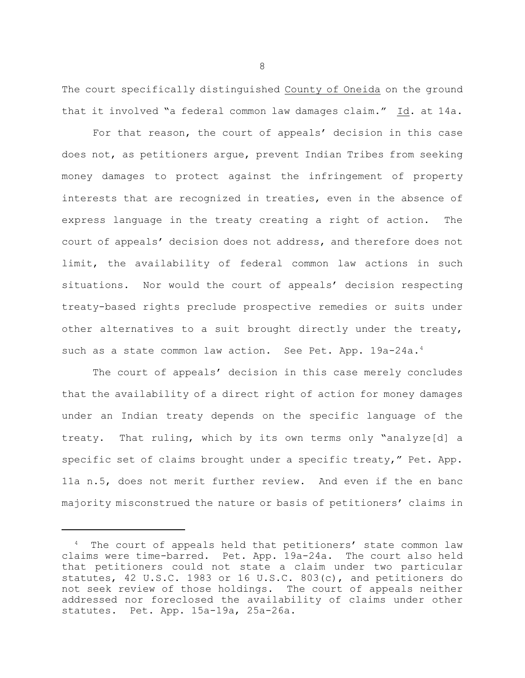The court specifically distinguished County of Oneida on the ground that it involved "a federal common law damages claim." Id. at 14a.

For that reason, the court of appeals' decision in this case does not, as petitioners argue, prevent Indian Tribes from seeking money damages to protect against the infringement of property interests that are recognized in treaties, even in the absence of express language in the treaty creating a right of action. The court of appeals' decision does not address, and therefore does not limit, the availability of federal common law actions in such situations. Nor would the court of appeals' decision respecting treaty-based rights preclude prospective remedies or suits under other alternatives to a suit brought directly under the treaty, such as a state common law action. See Pet. App. 19a-24a.<sup>4</sup>

The court of appeals' decision in this case merely concludes that the availability of a direct right of action for money damages under an Indian treaty depends on the specific language of the treaty. That ruling, which by its own terms only "analyze[d] a specific set of claims brought under a specific treaty," Pet. App. 11a n.5, does not merit further review. And even if the en banc majority misconstrued the nature or basis of petitioners' claims in

The court of appeals held that petitioners' state common law claims were time-barred. Pet. App. 19a-24a. The court also held that petitioners could not state a claim under two particular statutes, 42 U.S.C. 1983 or 16 U.S.C. 803(c), and petitioners do not seek review of those holdings. The court of appeals neither addressed nor foreclosed the availability of claims under other statutes. Pet. App. 15a-19a, 25a-26a.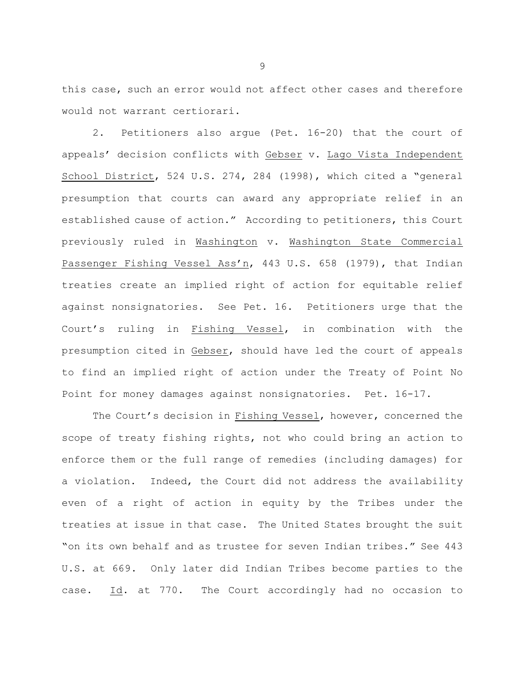this case, such an error would not affect other cases and therefore would not warrant certiorari.

2. Petitioners also argue (Pet. 16-20) that the court of appeals' decision conflicts with Gebser v. Lago Vista Independent School District, 524 U.S. 274, 284 (1998), which cited a "general presumption that courts can award any appropriate relief in an established cause of action." According to petitioners, this Court previously ruled in Washington v. Washington State Commercial Passenger Fishing Vessel Ass'n, 443 U.S. 658 (1979), that Indian treaties create an implied right of action for equitable relief against nonsignatories. See Pet. 16. Petitioners urge that the Court's ruling in Fishing Vessel, in combination with the presumption cited in Gebser, should have led the court of appeals to find an implied right of action under the Treaty of Point No Point for money damages against nonsignatories. Pet. 16-17.

The Court's decision in Fishing Vessel, however, concerned the scope of treaty fishing rights, not who could bring an action to enforce them or the full range of remedies (including damages) for a violation. Indeed, the Court did not address the availability even of a right of action in equity by the Tribes under the treaties at issue in that case. The United States brought the suit "on its own behalf and as trustee for seven Indian tribes." See 443 U.S. at 669. Only later did Indian Tribes become parties to the case. Id. at 770. The Court accordingly had no occasion to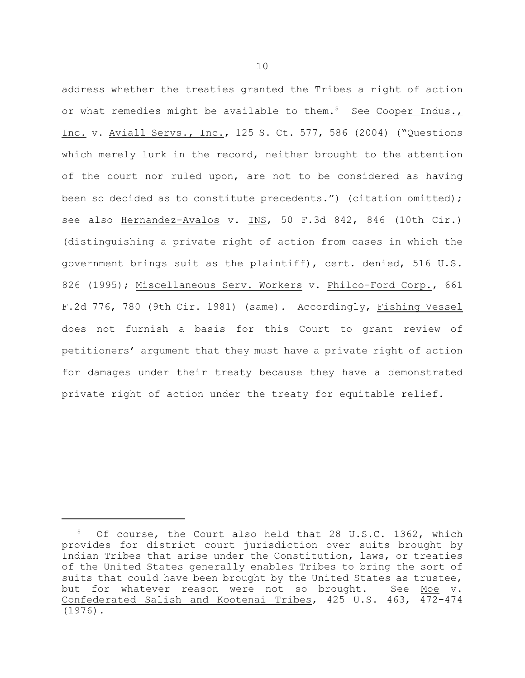address whether the treaties granted the Tribes a right of action or what remedies might be available to them.<sup>5</sup> See Cooper Indus., Inc. v. Aviall Servs., Inc., 125 S. Ct. 577, 586 (2004) ("Questions which merely lurk in the record, neither brought to the attention of the court nor ruled upon, are not to be considered as having been so decided as to constitute precedents.") (citation omitted); see also Hernandez-Avalos v. INS, 50 F.3d 842, 846 (10th Cir.) (distinguishing a private right of action from cases in which the government brings suit as the plaintiff), cert. denied, 516 U.S. 826 (1995); Miscellaneous Serv. Workers v. Philco-Ford Corp., 661 F.2d 776, 780 (9th Cir. 1981) (same). Accordingly, Fishing Vessel does not furnish a basis for this Court to grant review of petitioners' argument that they must have a private right of action for damages under their treaty because they have a demonstrated private right of action under the treaty for equitable relief.

Of course, the Court also held that 28 U.S.C. 1362, which provides for district court jurisdiction over suits brought by Indian Tribes that arise under the Constitution, laws, or treaties of the United States generally enables Tribes to bring the sort of suits that could have been brought by the United States as trustee, but for whatever reason were not so brought. See Moe v. Confederated Salish and Kootenai Tribes, 425 U.S. 463, 472-474 (1976).